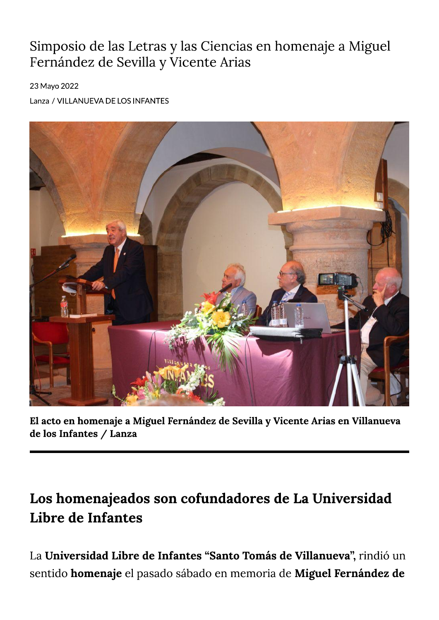## Simposio de las Letras y las Ciencias en homenaje a Miguel Fernández de Sevilla y Vicente Arias

23 Mayo 2022

Lanza / VILLANUEVA DE LOS INFANTES



El acto en homenaje a Miguel Fernández de Sevilla y Vicente Arias en Villanueva de los Infantes / Lanza

## Los homenajeados son cofundadores de La Universidad Libre de Infantes

La Universidad Libre de Infantes "Santo Tomás de Villanueva", rindió un sentido homenaje el pasado sábado en memoria de Miguel Fernández de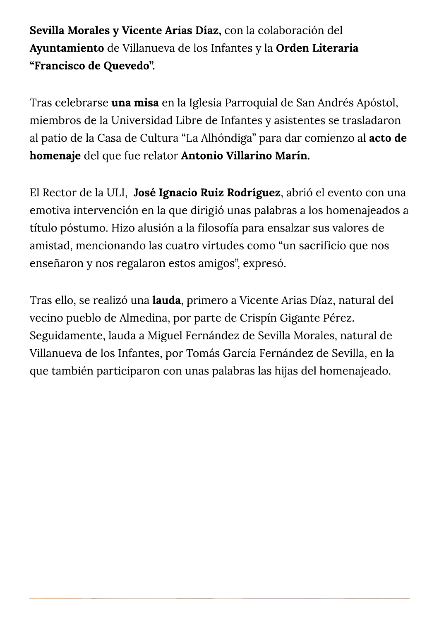Sevilla Morales y Vicente Arias Díaz, con la colaboración del Ayuntamiento de Villanueva de los Infantes y la Orden Literaria "Francisco de Quevedo".

Tras celebrarse una misa en la Iglesia Parroquial de San Andrés Apóstol, miembros de la Universidad Libre de Infantes y asistentes se trasladaron al patio de la Casa de Cultura "La Alhóndiga" para dar comienzo al acto de homenaje del que fue relator Antonio Villarino Marín.

El Rector de la ULI, José Ignacio Ruiz Rodríguez, abrió el evento con una emotiva intervención en la que dirigió unas palabras a los homenajeados a título póstumo. Hizo alusión a la filosofía para ensalzar sus valores de amistad, mencionando las cuatro virtudes como "un sacrificio que nos enseñaron y nos regalaron estos amigos", expresó.

Tras ello, se realizó una lauda, primero a Vicente Arias Díaz, natural del vecino pueblo de Almedina, por parte de Crispín Gigante Pérez. Seguidamente, lauda a Miguel Fernández de Sevilla Morales, natural de Villanueva de los Infantes, por Tomás García Fernández de Sevilla, en la que también participaron con unas palabras las hijas del homenajeado.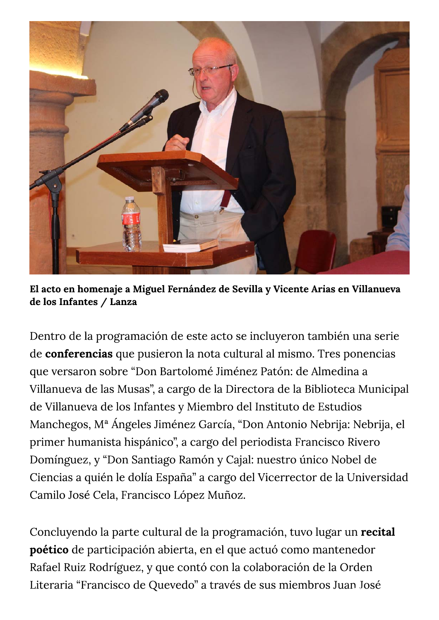

El acto en homenaje a Miguel Fernández de Sevilla y Vicente Arias en Villanueva de los Infantes / Lanza

Dentro de la programación de este acto se incluyeron también una serie de conferencias que pusieron la nota cultural al mismo. Tres ponencias que versaron sobre "Don Bartolomé Jiménez Patón: de Almedina a Villanueva de las Musas", a cargo de la Directora de la Biblioteca Municipal de Villanueva de los Infantes y Miembro del Instituto de Estudios Manchegos, Mª Ángeles Jiménez García, "Don Antonio Nebrija: Nebrija, el primer humanista hispánico", a cargo del periodista Francisco Rivero Domínguez, y "Don Santiago Ramón y Cajal: nuestro único Nobel de Ciencias a quién le dolía España" a cargo del Vicerrector de la Universidad Camilo José Cela, Francisco López Muñoz.

Concluyendo la parte cultural de la programación, tuvo lugar un recital poético de participación abierta, en el que actuó como mantenedor Rafael Ruiz Rodríguez, y que contó con la colaboración de la Orden Literaria "Francisco de Quevedo" a través de sus miembros Juan José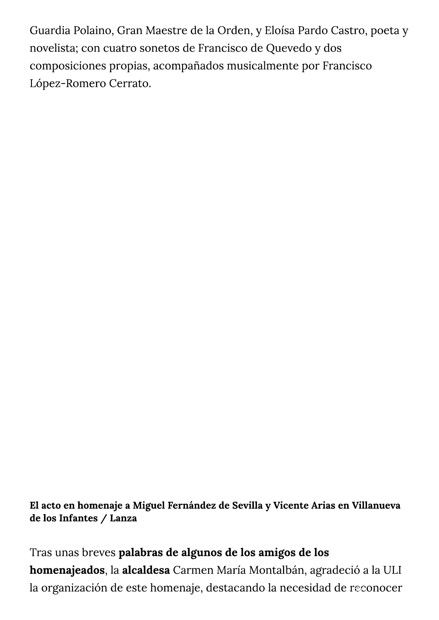Guardia Polaino, Gran Maestre de la Orden, y Eloísa Pardo Castro, poeta y novelista; con cuatro sonetos de Francisco de Quevedo y dos composiciones propias, acompañados musicalmente por Francisco López-Romero Cerrato.

El acto en homenaje a Miguel Fernández de Sevilla y Vicente Arias en Villanueva de los Infantes / Lanza

Tras unas breves palabras de algunos de los amigos de los homenajeados, la alcaldesa Carmen María Montalbán, agradeció a la ULI la organización de este homenaje, destacando la necesidad de reconocer